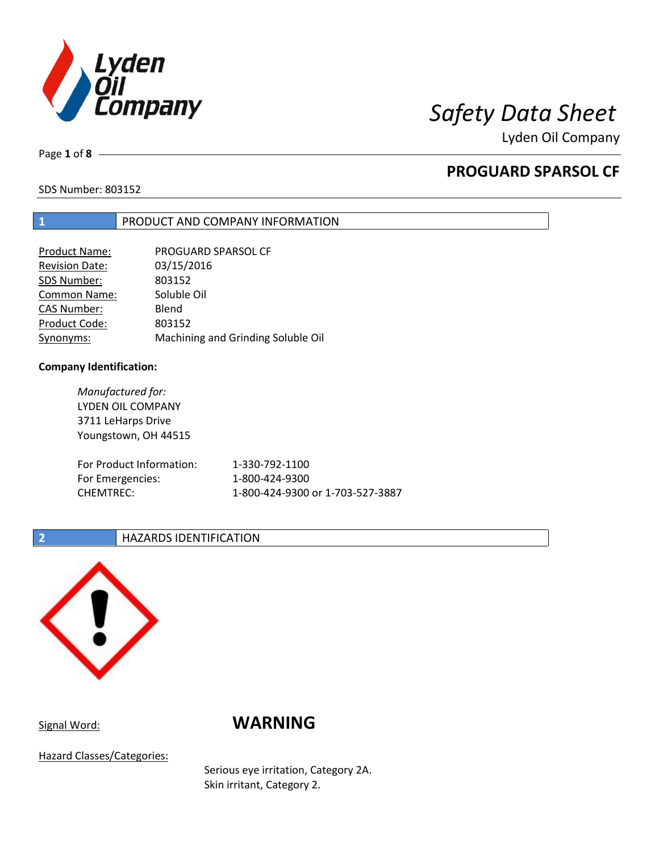

Lyden Oil Company

Page **1** of **8**

## **PROGUARD SPARSOL CF**

SDS Number: 803152

## **1** PRODUCT AND COMPANY INFORMATION

| <b>Product Name:</b> | PROGUARD SPARSOL CF                |
|----------------------|------------------------------------|
| Revision Date:       | 03/15/2016                         |
| SDS Number:          | 803152                             |
| <b>Common Name:</b>  | Soluble Oil                        |
| <b>CAS Number:</b>   | Blend                              |
| Product Code:        | 803152                             |
| Synonyms:            | Machining and Grinding Soluble Oil |

## **Company Identification:**

*Manufactured for:* LYDEN OIL COMPANY 3711 LeHarps Drive Youngstown, OH 44515 For Product Information: 1-330-792-1100 For Emergencies: 1-800-424-9300 CHEMTREC: 1-800-424-9300 or 1-703-527-3887

## **2 HAZARDS IDENTIFICATION**



# Signal Word: **WARNING**

Hazard Classes/Categories:

Serious eye irritation, Category 2A. Skin irritant, Category 2.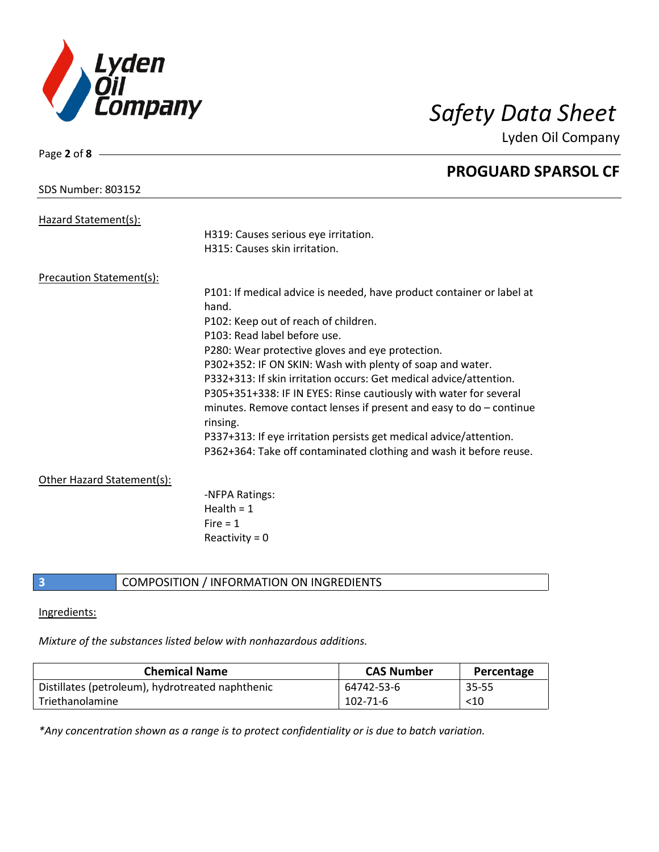

Page **2** of **8**

Lyden Oil Company

|                            | <b>PROGUARD SPARSOL CF</b>                                                        |
|----------------------------|-----------------------------------------------------------------------------------|
| <b>SDS Number: 803152</b>  |                                                                                   |
| Hazard Statement(s):       |                                                                                   |
|                            | H319: Causes serious eye irritation.                                              |
|                            | H315: Causes skin irritation.                                                     |
| Precaution Statement(s):   |                                                                                   |
|                            | P101: If medical advice is needed, have product container or label at<br>hand.    |
|                            | P102: Keep out of reach of children.                                              |
|                            | P103: Read label before use.                                                      |
|                            | P280: Wear protective gloves and eye protection.                                  |
|                            | P302+352: IF ON SKIN: Wash with plenty of soap and water.                         |
|                            | P332+313: If skin irritation occurs: Get medical advice/attention.                |
|                            | P305+351+338: IF IN EYES: Rinse cautiously with water for several                 |
|                            | minutes. Remove contact lenses if present and easy to $do$ – continue<br>rinsing. |
|                            | P337+313: If eye irritation persists get medical advice/attention.                |
|                            | P362+364: Take off contaminated clothing and wash it before reuse.                |
| Other Hazard Statement(s): |                                                                                   |
|                            | -NFPA Ratings:                                                                    |
|                            | Health = $1$                                                                      |
|                            | Fire $= 1$                                                                        |
|                            | Reactivity = $0$                                                                  |
|                            |                                                                                   |

**3** COMPOSITION / INFORMATION ON INGREDIENTS

## Ingredients:

*Mixture of the substances listed below with nonhazardous additions.*

| <b>Chemical Name</b>                             | <b>CAS Number</b> | Percentage |
|--------------------------------------------------|-------------------|------------|
| Distillates (petroleum), hydrotreated naphthenic | 64742-53-6        | 35-55      |
| l Triethanolamine                                | $102 - 71 - 6$    | $<$ 10     |

*\*Any concentration shown as a range is to protect confidentiality or is due to batch variation.*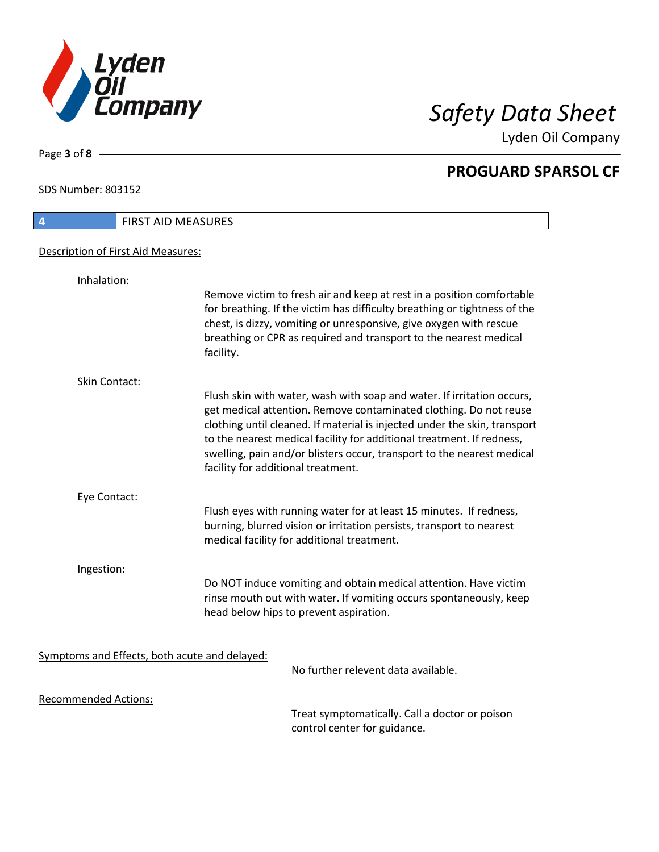

Lyden Oil Company

SDS Number: 803152

Page **3** of **8**

# **4** FIRST AID MEASURES Description of First Aid Measures: Inhalation: Remove victim to fresh air and keep at rest in a position comfortable for breathing. If the victim has difficulty breathing or tightness of the chest, is dizzy, vomiting or unresponsive, give oxygen with rescue breathing or CPR as required and transport to the nearest medical facility. Skin Contact: Flush skin with water, wash with soap and water. If irritation occurs, get medical attention. Remove contaminated clothing. Do not reuse clothing until cleaned. If material is injected under the skin, transport to the nearest medical facility for additional treatment. If redness, swelling, pain and/or blisters occur, transport to the nearest medical facility for additional treatment. Eye Contact: Flush eyes with running water for at least 15 minutes. If redness, burning, blurred vision or irritation persists, transport to nearest medical facility for additional treatment. Ingestion: Do NOT induce vomiting and obtain medical attention. Have victim rinse mouth out with water. If vomiting occurs spontaneously, keep head below hips to prevent aspiration. Symptoms and Effects, both acute and delayed: No further relevent data available. Recommended Actions:

Treat symptomatically. Call a doctor or poison control center for guidance.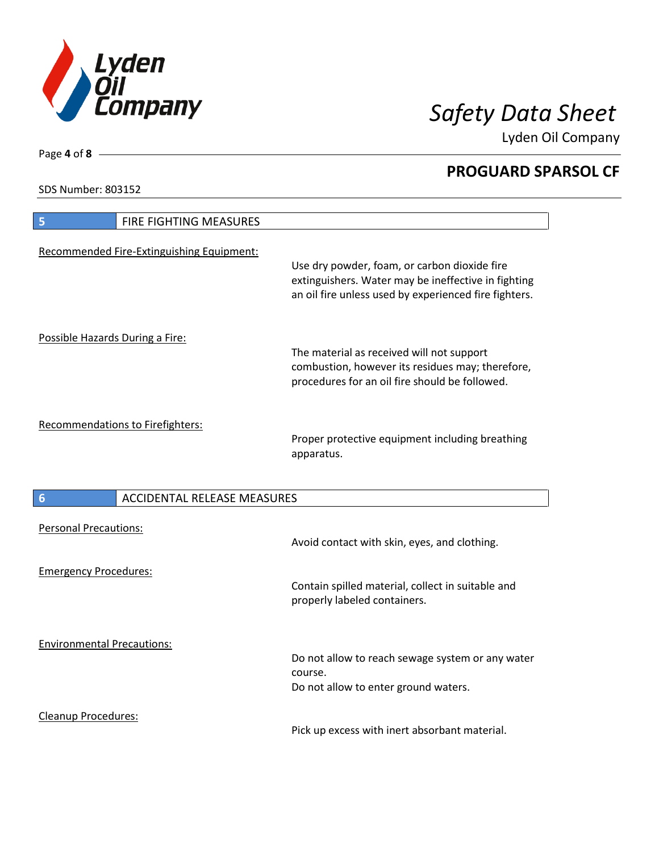

Lyden Oil Company

SDS Number: 803152

Page **4** of **8**

| FIRE FIGHTING MEASURES<br>5               |                                                                                                                                                              |
|-------------------------------------------|--------------------------------------------------------------------------------------------------------------------------------------------------------------|
| Recommended Fire-Extinguishing Equipment: | Use dry powder, foam, or carbon dioxide fire<br>extinguishers. Water may be ineffective in fighting<br>an oil fire unless used by experienced fire fighters. |
| Possible Hazards During a Fire:           | The material as received will not support<br>combustion, however its residues may; therefore,<br>procedures for an oil fire should be followed.              |
| Recommendations to Firefighters:          | Proper protective equipment including breathing<br>apparatus.                                                                                                |
| <b>ACCIDENTAL RELEASE MEASURES</b><br>6   |                                                                                                                                                              |
| <b>Personal Precautions:</b>              | Avoid contact with skin, eyes, and clothing.                                                                                                                 |
| <b>Emergency Procedures:</b>              | Contain spilled material, collect in suitable and<br>properly labeled containers.                                                                            |
| <b>Environmental Precautions:</b>         | Do not allow to reach sewage system or any water<br>course.<br>Do not allow to enter ground waters.                                                          |
| <b>Cleanup Procedures:</b>                |                                                                                                                                                              |

Pick up excess with inert absorbant material.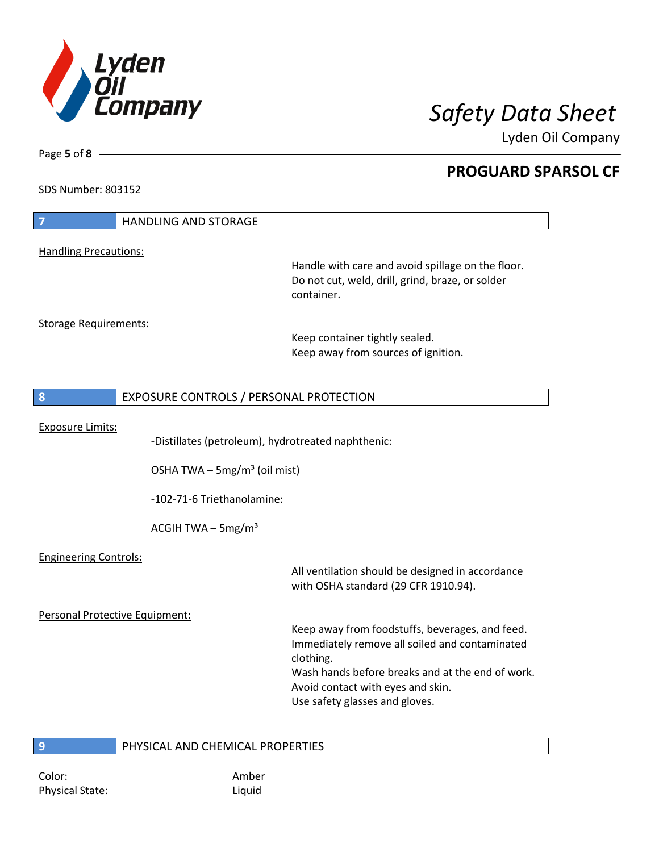

Lyden Oil Company

SDS Number: 803152

Page **5** of **8**

| $\overline{7}$                 | <b>HANDLING AND STORAGE</b>                                                                    |                                                                                                                                                                                                                                           |
|--------------------------------|------------------------------------------------------------------------------------------------|-------------------------------------------------------------------------------------------------------------------------------------------------------------------------------------------------------------------------------------------|
| <b>Handling Precautions:</b>   |                                                                                                |                                                                                                                                                                                                                                           |
|                                |                                                                                                | Handle with care and avoid spillage on the floor.<br>Do not cut, weld, drill, grind, braze, or solder<br>container.                                                                                                                       |
| <b>Storage Requirements:</b>   |                                                                                                | Keep container tightly sealed.<br>Keep away from sources of ignition.                                                                                                                                                                     |
| 8                              | EXPOSURE CONTROLS / PERSONAL PROTECTION                                                        |                                                                                                                                                                                                                                           |
| <b>Exposure Limits:</b>        | -Distillates (petroleum), hydrotreated naphthenic:<br>OSHA TWA - 5mg/m <sup>3</sup> (oil mist) |                                                                                                                                                                                                                                           |
|                                | -102-71-6 Triethanolamine:                                                                     |                                                                                                                                                                                                                                           |
|                                | ACGIH TWA $-$ 5mg/m <sup>3</sup>                                                               |                                                                                                                                                                                                                                           |
| <b>Engineering Controls:</b>   |                                                                                                | All ventilation should be designed in accordance<br>with OSHA standard (29 CFR 1910.94).                                                                                                                                                  |
| Personal Protective Equipment: |                                                                                                |                                                                                                                                                                                                                                           |
|                                |                                                                                                | Keep away from foodstuffs, beverages, and feed.<br>Immediately remove all soiled and contaminated<br>clothing.<br>Wash hands before breaks and at the end of work.<br>Avoid contact with eyes and skin.<br>Use safety glasses and gloves. |
| 9                              | PHYSICAL AND CHEMICAL PROPERTIES                                                               |                                                                                                                                                                                                                                           |

## Color: Amber Physical State: Liquid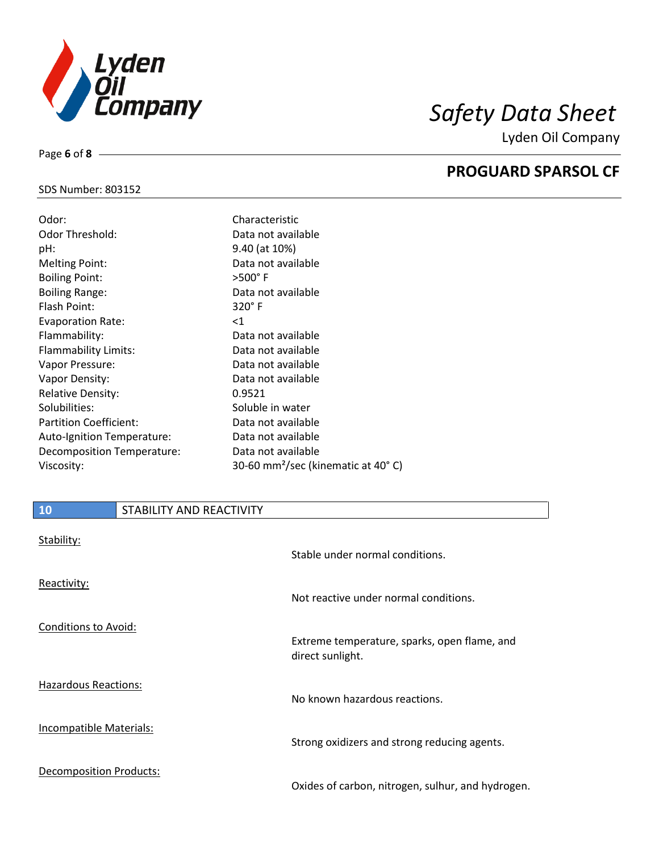

Lyden Oil Company

## SDS Number: 803152

Page **6** of **8**

| Odor:                         | Characteristic                                 |
|-------------------------------|------------------------------------------------|
| Odor Threshold:               | Data not available                             |
| pH:                           | 9.40 (at 10%)                                  |
| <b>Melting Point:</b>         | Data not available                             |
| <b>Boiling Point:</b>         | $>500^\circ$ F                                 |
| <b>Boiling Range:</b>         | Data not available                             |
| Flash Point:                  | $320^\circ$ F                                  |
| <b>Evaporation Rate:</b>      | $<$ 1                                          |
| Flammability:                 | Data not available                             |
| <b>Flammability Limits:</b>   | Data not available                             |
| Vapor Pressure:               | Data not available                             |
| Vapor Density:                | Data not available                             |
| <b>Relative Density:</b>      | 0.9521                                         |
| Solubilities:                 | Soluble in water                               |
| <b>Partition Coefficient:</b> | Data not available                             |
| Auto-Ignition Temperature:    | Data not available                             |
| Decomposition Temperature:    | Data not available                             |
| Viscosity:                    | 30-60 mm <sup>2</sup> /sec (kinematic at 40°C) |

| 10                             | STABILITY AND REACTIVITY |                                                                  |
|--------------------------------|--------------------------|------------------------------------------------------------------|
| Stability:                     |                          | Stable under normal conditions.                                  |
| Reactivity:                    |                          | Not reactive under normal conditions.                            |
| Conditions to Avoid:           |                          | Extreme temperature, sparks, open flame, and<br>direct sunlight. |
| <b>Hazardous Reactions:</b>    |                          | No known hazardous reactions.                                    |
| <b>Incompatible Materials:</b> |                          | Strong oxidizers and strong reducing agents.                     |
| Decomposition Products:        |                          | Oxides of carbon, nitrogen, sulhur, and hydrogen.                |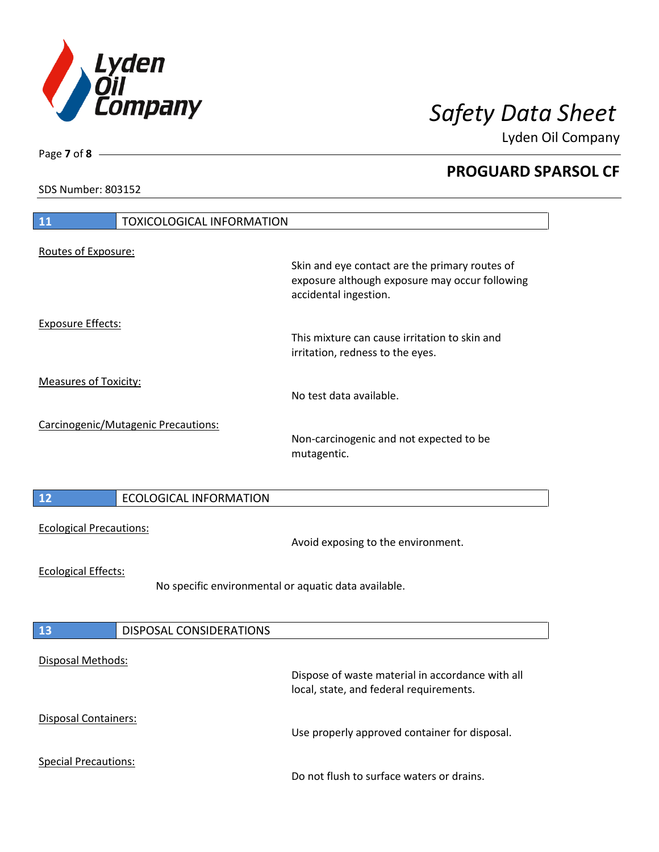

Lyden Oil Company

SDS Number: 803152

| 11<br><b>TOXICOLOGICAL INFORMATION</b>                                             |                                                                                                                           |
|------------------------------------------------------------------------------------|---------------------------------------------------------------------------------------------------------------------------|
| Routes of Exposure:                                                                | Skin and eye contact are the primary routes of<br>exposure although exposure may occur following<br>accidental ingestion. |
| <b>Exposure Effects:</b>                                                           | This mixture can cause irritation to skin and<br>irritation, redness to the eyes.                                         |
| <b>Measures of Toxicity:</b>                                                       | No test data available.                                                                                                   |
| Carcinogenic/Mutagenic Precautions:                                                | Non-carcinogenic and not expected to be<br>mutagentic.                                                                    |
| 12<br><b>ECOLOGICAL INFORMATION</b>                                                |                                                                                                                           |
| <b>Ecological Precautions:</b>                                                     | Avoid exposing to the environment.                                                                                        |
| <b>Ecological Effects:</b><br>No specific environmental or aquatic data available. |                                                                                                                           |
| 13<br>DISPOSAL CONSIDERATIONS                                                      |                                                                                                                           |
| <b>Disposal Methods:</b>                                                           | Dispose of waste material in accordance with all<br>local, state, and federal requirements.                               |
| Disposal Containers:                                                               | Use properly approved container for disposal.                                                                             |
| <b>Special Precautions:</b>                                                        | Do not flush to surface waters or drains.                                                                                 |

Page **7** of **8**